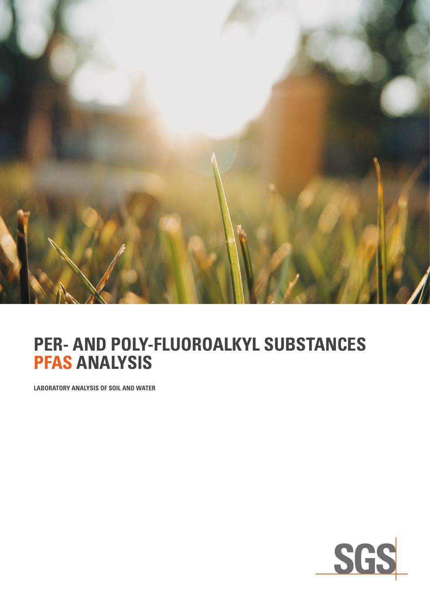

## **PER- AND POLY-FLUOROALKYL SUBSTANCES PFAS ANALYSIS**

**LABORATORY ANALYSIS OF SOIL AND WATER**